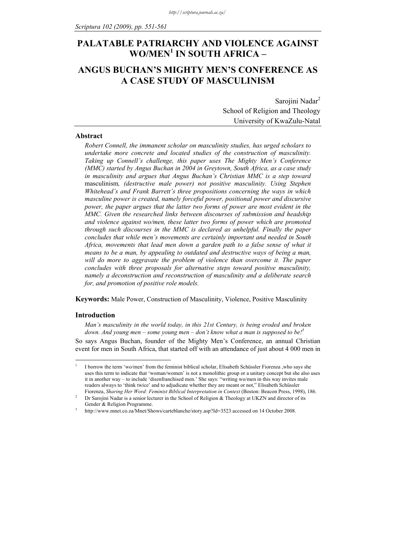# **PALATABLE PATRIARCHY AND VIOLENCE AGAINST WO/MEN1 IN SOUTH AFRICA –**

# **ANGUS BUCHAN'S MIGHTY MEN'S CONFERENCE AS A CASE STUDY OF MASCULINISM**

Sarojini Nadar<sup>2</sup> School of Religion and Theology University of KwaZulu-Natal

## **Abstract**

*Robert Connell, the immanent scholar on masculinity studies, has urged scholars to undertake more concrete and located studies of the construction of masculinity. Taking up Connell's challenge, this paper uses The Mighty Men's Conference (MMC) started by Angus Buchan in 2004 in Greytown, South Africa, as a case study in masculinity and argues that Angus Buchan's Christian MMC is a step toward* masculinism*, (destructive male power) not positive masculinity. Using Stephen Whitehead's and Frank Barrett's three propositions concerning the ways in which masculine power is created, namely forceful power, positional power and discursive power, the paper argues that the latter two forms of power are most evident in the MMC. Given the researched links between discourses of submission and headship and violence against wo/men, these latter two forms of power which are promoted through such discourses in the MMC is declared as unhelpful. Finally the paper concludes that while men's movements are certainly important and needed in South Africa, movements that lead men down a garden path to a false sense of what it means to be a man, by appealing to outdated and destructive ways of being a man,*  will do more to aggravate the problem of violence than overcome it. The paper *concludes with three proposals for alternative steps toward positive masculinity, namely a deconstruction and reconstruction of masculinity and a deliberate search for, and promotion of positive role models.* 

**Keywords:** Male Power, Construction of Masculinity, Violence, Positive Masculinity

### **Introduction**

<u>.</u>

*Man's masculinity in the world today, in this 21st Century, is being eroded and broken down. And young men – some young men – don't know what a man is supposed to be!3*

So says Angus Buchan, founder of the Mighty Men's Conference, an annual Christian event for men in South Africa, that started off with an attendance of just about 4 000 men in

<sup>1</sup> I borrow the term 'wo/men' from the feminist biblical scholar, Elisabeth Schüssler Fiorenza ,who says she uses this term to indicate that 'woman/women' is not a monolithic group or a unitary concept but she also uses it in another way – to include 'disenfranchised men.' She says: "writing wo/men in this way invites male readers always to 'think twice' and to adjudicate whether they are meant or not," Elisabeth Schüssler Fiorenza, *Sharing Her Word: Feminist Biblical Interpretation in Context* (Boston: Beacon Press, 1998), 186. 2

Dr Sarojini Nadar is a senior lecturer in the School of Religion & Theology at UKZN and director of its Gender & Religion Programme.

http://www.mnet.co.za/Mnet/Shows/carteblanche/story.asp?Id=3523 accessed on 14 October 2008.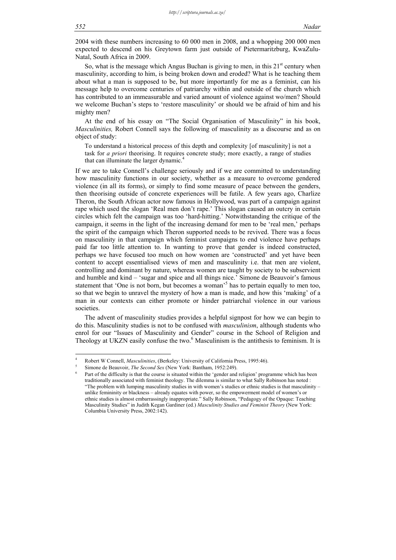2004 with these numbers increasing to 60 000 men in 2008, and a whopping 200 000 men expected to descend on his Greytown farm just outside of Pietermaritzburg, KwaZulu-Natal, South Africa in 2009.

So, what is the message which Angus Buchan is giving to men, in this  $21<sup>st</sup>$  century when masculinity, according to him, is being broken down and eroded? What is he teaching them about what a man is supposed to be, but more importantly for me as a feminist, can his message help to overcome centuries of patriarchy within and outside of the church which has contributed to an immeasurable and varied amount of violence against wo/men? Should we welcome Buchan's steps to 'restore masculinity' or should we be afraid of him and his mighty men?

At the end of his essay on "The Social Organisation of Masculinity" in his book, *Masculinities,* Robert Connell says the following of masculinity as a discourse and as on object of study:

To understand a historical process of this depth and complexity [of masculinity] is not a task for *a priori* theorising. It requires concrete study; more exactly, a range of studies that can illuminate the larger dynamic.<sup>4</sup>

If we are to take Connell's challenge seriously and if we are committed to understanding how masculinity functions in our society, whether as a measure to overcome gendered violence (in all its forms), or simply to find some measure of peace between the genders, then theorising outside of concrete experiences will be futile. A few years ago, Charlize Theron, the South African actor now famous in Hollywood, was part of a campaign against rape which used the slogan 'Real men don't rape.' This slogan caused an outcry in certain circles which felt the campaign was too 'hard-hitting.' Notwithstanding the critique of the campaign, it seems in the light of the increasing demand for men to be 'real men,' perhaps the spirit of the campaign which Theron supported needs to be revived. There was a focus on masculinity in that campaign which feminist campaigns to end violence have perhaps paid far too little attention to. In wanting to prove that gender is indeed constructed, perhaps we have focused too much on how women are 'constructed' and yet have been content to accept essentialised views of men and masculinity i.e. that men are violent, controlling and dominant by nature, whereas women are taught by society to be subservient and humble and kind – 'sugar and spice and all things nice.' Simone de Beauvoir's famous statement that 'One is not born, but becomes a woman'<sup>5</sup> has to pertain equally to men too, so that we begin to unravel the mystery of how a man is made, and how this 'making' of a man in our contexts can either promote or hinder patriarchal violence in our various societies.

The advent of masculinity studies provides a helpful signpost for how we can begin to do this. Masculinity studies is not to be confused with *masculinism*, although students who enrol for our "Issues of Masculinity and Gender" course in the School of Religion and Theology at UKZN easily confuse the two.<sup>6</sup> Masculinism is the antithesis to feminism. It is

1

<sup>4</sup> Robert W Connell, *Masculinities*, (Berkeley: University of California Press, 1995:46).

Simone de Beauvoir, *The Second Sex* (New York: Bantham, 1952:249).

Part of the difficulty is that the course is situated within the 'gender and religion' programme which has been traditionally associated with feminist theology. The dilemma is similar to what Sally Robinson has noted : "The problem with lumping masculinity studies in with women's studies or ethnic studies is that masculinity – unlike femininity or blackness – already equates with power, so the empowerment model of women's or ethnic studies is almost embarrassingly inappropriate." Sally Robinson, "Pedagogy of the Opaque: Teaching Masculinity Studies" in Judith Kegan Gardiner (ed.) *Masculinity Studies and Feminist Theory* (New York: Columbia University Press, 2002:142).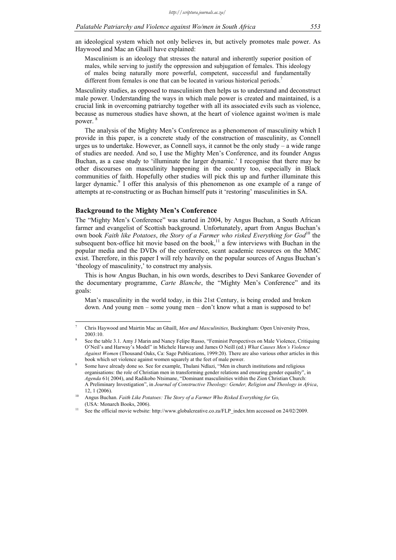an ideological system which not only believes in, but actively promotes male power. As Haywood and Mac an Ghaill have explained:

Masculinism is an ideology that stresses the natural and inherently superior position of males, while serving to justify the oppression and subjugation of females. This ideology of males being naturally more powerful, competent, successful and fundamentally different from females is one that can be located in various historical periods.<sup>7</sup>

Masculinity studies, as opposed to masculinism then helps us to understand and deconstruct male power. Understanding the ways in which male power is created and maintained, is a crucial link in overcoming patriarchy together with all its associated evils such as violence, because as numerous studies have shown, at the heart of violence against wo/men is male power.<sup>8</sup>

The analysis of the Mighty Men's Conference as a phenomenon of masculinity which I provide in this paper, is a concrete study of the construction of masculinity, as Connell urges us to undertake. However, as Connell says, it cannot be the only study – a wide range of studies are needed. And so, I use the Mighty Men's Conference, and its founder Angus Buchan, as a case study to 'illuminate the larger dynamic.' I recognise that there may be other discourses on masculinity happening in the country too, especially in Black communities of faith. Hopefully other studies will pick this up and further illuminate this larger dynamic.<sup>9</sup> I offer this analysis of this phenomenon as one example of a range of attempts at re-constructing or as Buchan himself puts it 'restoring' masculinities in SA.

#### **Background to the Mighty Men's Conference**

<u>.</u>

The "Mighty Men's Conference" was started in 2004, by Angus Buchan, a South African farmer and evangelist of Scottish background. Unfortunately, apart from Angus Buchan's own book *Faith like Potatoes, the Story of a Farmer who risked Everything for God*<sup>10</sup> the subsequent box-office hit movie based on the book, $11$  a few interviews with Buchan in the popular media and the DVDs of the conference, scant academic resources on the MMC exist. Therefore, in this paper I will rely heavily on the popular sources of Angus Buchan's 'theology of masculinity,' to construct my analysis.

This is how Angus Buchan, in his own words, describes to Devi Sankaree Govender of the documentary programme, *Carte Blanche*, the "Mighty Men's Conference" and its goals:

Man's masculinity in the world today, in this 21st Century, is being eroded and broken down. And young men – some young men – don't know what a man is supposed to be!

<sup>7</sup> Chris Haywood and Mairtin Mac an Ghaill, *Men and Masculinities,* Buckingham: Open University Press, 2003:10. 8

See the table 3.1. Amy J Marin and Nancy Felipe Russo, "Feminist Perspectives on Male Violence, Critiquing O'Neil's and Harway's Model" in Michele Harway and James O Neill (ed.) *What Causes Men's Violence Against Women* (Thousand Oaks, Ca: Sage Publications, 1999:20). There are also various other articles in this book which set violence against women squarely at the feet of male power.

Some have already done so. See for example, Thulani Ndlazi, "Men in church institutions and religious organisations: the role of Christian men in transforming gender relations and ensuring gender equality", in *Agenda* 61( 2004), and Radikobo Ntsimane, "Dominant masculinities within the Zion Christian Church: A Preliminary Investigation", in *Journal of Constructive Theology: Gender, Religion and Theology in Africa*, 12, 1 (2006).<br>Angus Buchan. *Faith Like Potatoes: The Story of a Farmer Who Risked Everything for Go*,

<sup>(</sup>USA: Monarch Books, 2006).<br><sup>11</sup> See the official movie website: http://www.globalcreative.co.za/FLP\_index.htm accessed on 24/02/2009.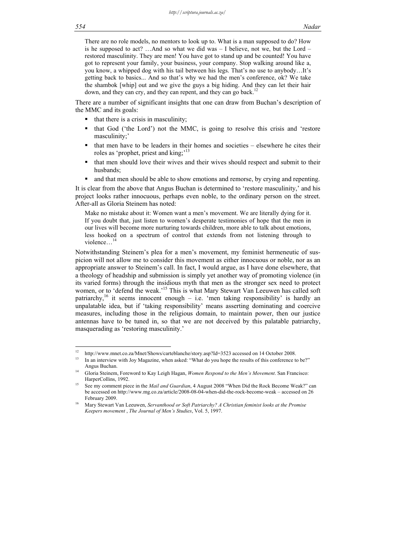There are no role models, no mentors to look up to. What is a man supposed to do? How is he supposed to act? ... And so what we did was  $-$  I believe, not we, but the Lord – restored masculinity. They are men! You have got to stand up and be counted! You have got to represent your family, your business, your company. Stop walking around like a, you know, a whipped dog with his tail between his legs. That's no use to anybody…It's getting back to basics... And so that's why we had the men's conference, ok? We take the shambok [whip] out and we give the guys a big hiding. And they can let their hair down, and they can cry, and they can repent, and they can go back.<sup>12</sup>

There are a number of significant insights that one can draw from Buchan's description of the MMC and its goals:

- that there is a crisis in masculinity;
- $\bullet$  that God ('the Lord') not the MMC, is going to resolve this crisis and 'restore masculinity;'
- that men have to be leaders in their homes and societies elsewhere he cites their roles as 'prophet, priest and king;'13
- that men should love their wives and their wives should respect and submit to their husbands;
- and that men should be able to show emotions and remorse, by crying and repenting.

It is clear from the above that Angus Buchan is determined to 'restore masculinity,' and his project looks rather innocuous, perhaps even noble, to the ordinary person on the street. After-all as Gloria Steinem has noted:

Make no mistake about it: Women want a men's movement. We are literally dying for it. If you doubt that, just listen to women's desperate testimonies of hope that the men in our lives will become more nurturing towards children, more able to talk about emotions, less hooked on a spectrum of control that extends from not listening through to violence…<sup>14</sup>

Notwithstanding Steinem's plea for a men's movement, my feminist hermeneutic of suspicion will not allow me to consider this movement as either innocuous or noble, nor as an appropriate answer to Steinem's call. In fact, I would argue, as I have done elsewhere, that a theology of headship and submission is simply yet another way of promoting violence (in its varied forms) through the insidious myth that men as the stronger sex need to protect women, or to 'defend the weak.'<sup>15</sup> This is what Mary Stewart Van Leeuwen has called soft patriarchy,<sup>16</sup> it seems innocent enough – i.e. 'men taking responsibility' is hardly an unpalatable idea, but if 'taking responsibility' means asserting dominating and coercive measures, including those in the religious domain, to maintain power, then our justice antennas have to be tuned in, so that we are not deceived by this palatable patriarchy, masquerading as 'restoring masculinity.'

 $12<sup>12</sup>$ 

<sup>&</sup>lt;sup>12</sup> http://www.mnet.co.za/Mnet/Shows/carteblanche/story.asp?Id=3523 accessed on 14 October 2008.<br><sup>13</sup> In an interview with Joy Magazine, when asked: "What do you hope the results of this conference to be?" Angus Buchan.<br>Gloria Steinem, Foreword to Kay Leigh Hagan, *Women Respond to the Men's Movement*. San Francisco:

HarperCollins, 1992.<br>See my comment piece in the *Mail and Guardian*, 4 August 2008 "When Did the Rock Become Weak?" can be accessed on http://www.mg.co.za/article/2008-08-04-when-did-the-rock-become-weak – accessed on 26 February 2009.<br>16 Mary Stewart Van Leeuwen, *Servanthood or Soft Patriarchy? A Christian feminist looks at the Promise* 

*Keepers movement* , *The Journal of Men's Studies*, Vol. 5, 1997.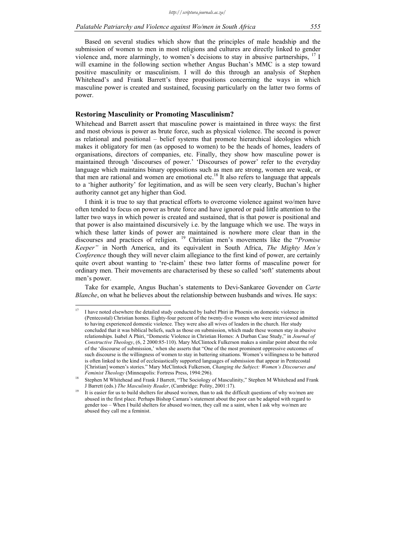Based on several studies which show that the principles of male headship and the submission of women to men in most religions and cultures are directly linked to gender violence and, more alarmingly, to women's decisions to stay in abusive partnerships, <sup>17</sup> I will examine in the following section whether Angus Buchan's MMC is a step toward positive masculinity or masculinism. I will do this through an analysis of Stephen Whitehead's and Frank Barrett's three propositions concerning the ways in which masculine power is created and sustained, focusing particularly on the latter two forms of power.

# **Restoring Masculinity or Promoting Masculinism?**

Whitehead and Barrett assert that masculine power is maintained in three ways: the first and most obvious is power as brute force, such as physical violence. The second is power as relational and positional – belief systems that promote hierarchical ideologies which makes it obligatory for men (as opposed to women) to be the heads of homes, leaders of organisations, directors of companies, etc. Finally, they show how masculine power is maintained through 'discourses of power.' 'Discourses of power' refer to the everyday language which maintains binary oppositions such as men are strong, women are weak, or that men are rational and women are emotional etc.18 It also refers to language that appeals to a 'higher authority' for legitimation, and as will be seen very clearly, Buchan's higher authority cannot get any higher than God.

I think it is true to say that practical efforts to overcome violence against wo/men have often tended to focus on power as brute force and have ignored or paid little attention to the latter two ways in which power is created and sustained, that is that power is positional and that power is also maintained discursively i.e. by the language which we use. The ways in which these latter kinds of power are maintained is nowhere more clear than in the discourses and practices of religion. 19 Christian men's movements like the "*Promise Keeper"* in North America, and its equivalent in South Africa, *The Mighty Men's Conference* though they will never claim allegiance to the first kind of power, are certainly quite overt about wanting to 're-claim' these two latter forms of masculine power for ordinary men. Their movements are characterised by these so called 'soft' statements about men's power.

Take for example, Angus Buchan's statements to Devi-Sankaree Govender on *Carte Blanche*, on what he believes about the relationship between husbands and wives. He says:

 $17$ 17 I have noted elsewhere the detailed study conducted by Isabel Phiri in Phoenix on domestic violence in (Pentecostal) Christian homes. Eighty-four percent of the twenty-five women who were interviewed admitted to having experienced domestic violence. They were also all wives of leaders in the church. Her study concluded that it was biblical beliefs, such as those on submission, which made these women stay in abusive relationships. Isabel A Phiri, "Domestic Violence in Christian Homes: A Durban Case Study," in *Journal of Constructive Theology*, (6, 2 2000:85-110). Mary McClintock Fulkerson makes a similar point about the role of the 'discourse of submission,' when she asserts that "One of the most prominent oppressive outcomes of such discourse is the willingness of women to stay in battering situations. Women's willingness to be battered is often linked to the kind of ecclesiastically supported languages of submission that appear in Pentecostal [Christian] women's stories." Mary McClintock Fulkerson, *Changing the Subject: Women's Discourses and* 

*Feminist Theology* (Minneapolis: Fortress Press, 1994:296).<br><sup>18</sup> Stephen M Whitehead and Frank J Barrett, "The Sociology of Masculinity," Stephen M Whitehead and Frank J Barrett (eds.) *The Masculinity Reader*, (Cambridge: Polity, 2001:17).<br>It is easier for us to build shelters for abused wo/men, than to ask the difficult questions of why wo/men are

abused in the first place. Perhaps Bishop Camara's statement about the poor can be adapted with regard to gender too – When I build shelters for abused wo/men, they call me a saint, when I ask why wo/men are abused they call me a feminist.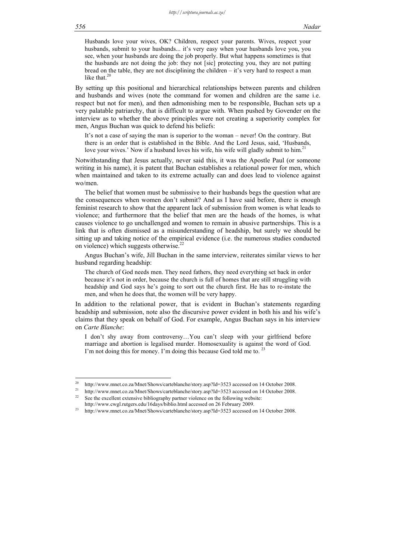Husbands love your wives, OK? Children, respect your parents. Wives, respect your husbands, submit to your husbands... it's very easy when your husbands love you, you see, when your husbands are doing the job properly. But what happens sometimes is that the husbands are not doing the job: they not [sic] protecting you, they are not putting bread on the table, they are not disciplining the children  $-$  it's very hard to respect a man like that.<sup>20</sup>

By setting up this positional and hierarchical relationships between parents and children and husbands and wives (note the command for women and children are the same i.e. respect but not for men), and then admonishing men to be responsible, Buchan sets up a very palatable patriarchy, that is difficult to argue with. When pushed by Govender on the interview as to whether the above principles were not creating a superiority complex for men, Angus Buchan was quick to defend his beliefs:

It's not a case of saying the man is superior to the woman – never! On the contrary. But there is an order that is established in the Bible. And the Lord Jesus, said, 'Husbands, love your wives.' Now if a husband loves his wife, his wife will gladly submit to him.<sup>2</sup>

Notwithstanding that Jesus actually, never said this, it was the Apostle Paul (or someone writing in his name), it is patent that Buchan establishes a relational power for men, which when maintained and taken to its extreme actually can and does lead to violence against wo/men.

The belief that women must be submissive to their husbands begs the question what are the consequences when women don't submit? And as I have said before, there is enough feminist research to show that the apparent lack of submission from women is what leads to violence; and furthermore that the belief that men are the heads of the homes, is what causes violence to go unchallenged and women to remain in abusive partnerships. This is a link that is often dismissed as a misunderstanding of headship, but surely we should be sitting up and taking notice of the empirical evidence (i.e. the numerous studies conducted on violence) which suggests otherwise. $^{22}$ 

Angus Buchan's wife, Jill Buchan in the same interview, reiterates similar views to her husband regarding headship:

The church of God needs men. They need fathers, they need everything set back in order because it's not in order, because the church is full of homes that are still struggling with headship and God says he's going to sort out the church first. He has to re-instate the men, and when he does that, the women will be very happy.

In addition to the relational power, that is evident in Buchan's statements regarding headship and submission, note also the discursive power evident in both his and his wife's claims that they speak on behalf of God. For example, Angus Buchan says in his interview on *Carte Blanche*:

I don't shy away from controversy…You can't sleep with your girlfriend before marriage and abortion is legalised murder. Homosexuality is against the word of God. I'm not doing this for money. I'm doing this because God told me to.

<u>.</u>

<sup>&</sup>lt;sup>20</sup> http://www.mnet.co.za/Mnet/Shows/carteblanche/story.asp?Id=3523 accessed on 14 October 2008.<br><sup>21</sup> http://www.mnet.co.za/Mnet/Shows/carteblanche/story.asp?Id=3523 accessed on 14 October 2008.<br><sup>22</sup> See the excellent ex

http://www.cwgl.rutgers.edu/16days/biblio.html accessed on 26 February 2009. 23 http://www.mnet.co.za/Mnet/Shows/carteblanche/story.asp?Id=3523 accessed on 14 October 2008.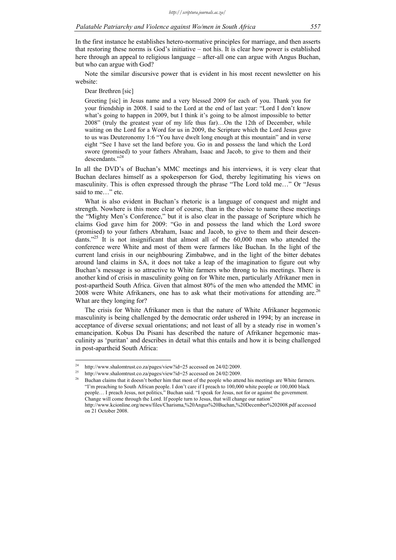In the first instance he establishes hetero-normative principles for marriage, and then asserts that restoring these norms is God's initiative – not his. It is clear how power is established here through an appeal to religious language – after-all one can argue with Angus Buchan, but who can argue with God?

Note the similar discursive power that is evident in his most recent newsletter on his website:

Dear Brethren [sic]

Greeting [sic] in Jesus name and a very blessed 2009 for each of you. Thank you for your friendship in 2008. I said to the Lord at the end of last year: "Lord I don't know what's going to happen in 2009, but I think it's going to be almost impossible to better 2008" (truly the greatest year of my life thus far)…On the 12th of December, while waiting on the Lord for a Word for us in 2009, the Scripture which the Lord Jesus gave to us was Deuteronomy 1:6 "You have dwelt long enough at this mountain" and in verse eight "See I have set the land before you. Go in and possess the land which the Lord swore (promised) to your fathers Abraham, Isaac and Jacob, to give to them and their descendants."24

In all the DVD's of Buchan's MMC meetings and his interviews, it is very clear that Buchan declares himself as a spokesperson for God, thereby legitimating his views on masculinity. This is often expressed through the phrase "The Lord told me…" Or "Jesus said to me..." etc.

What is also evident in Buchan's rhetoric is a language of conquest and might and strength. Nowhere is this more clear of course, than in the choice to name these meetings the "Mighty Men's Conference," but it is also clear in the passage of Scripture which he claims God gave him for 2009: "Go in and possess the land which the Lord swore (promised) to your fathers Abraham, Isaac and Jacob, to give to them and their descendants."<sup>25</sup> It is not insignificant that almost all of the  $60,000$  men who attended the conference were White and most of them were farmers like Buchan. In the light of the current land crisis in our neighbouring Zimbabwe, and in the light of the bitter debates around land claims in SA, it does not take a leap of the imagination to figure out why Buchan's message is so attractive to White farmers who throng to his meetings. There is another kind of crisis in masculinity going on for White men, particularly Afrikaner men in post-apartheid South Africa. Given that almost 80% of the men who attended the MMC in 2008 were White Afrikaners, one has to ask what their motivations for attending are.<sup>26</sup> What are they longing for?

The crisis for White Afrikaner men is that the nature of White Afrikaner hegemonic masculinity is being challenged by the democratic order ushered in 1994; by an increase in acceptance of diverse sexual orientations; and not least of all by a steady rise in women's emancipation. Kobus Du Pisani has described the nature of Afrikaner hegemonic masculinity as 'puritan' and describes in detail what this entails and how it is being challenged in post-apartheid South Africa:

<u>.</u>

<sup>&</sup>lt;sup>24</sup> http://www.shalomtrust.co.za/pages/view?id=25 accessed on 24/02/2009.<br><sup>25</sup> http://www.shalomtrust.co.za/pages/view?id=25 accessed on 24/02/2009.<br><sup>26</sup> Buchan claims that it doesn't bother him that most of the people w "I'm preaching to South African people. I don't care if I preach to 100,000 white people or 100,000 black people… I preach Jesus, not politics," Buchan said. "I speak for Jesus, not for or against the government. Change will come through the Lord. If people turn to Jesus, that will change our nation" http://www.kcionline.org/news/files/Charisma,%20Angus%20Buchan,%20December%202008.pdf accessed on 21 October 2008.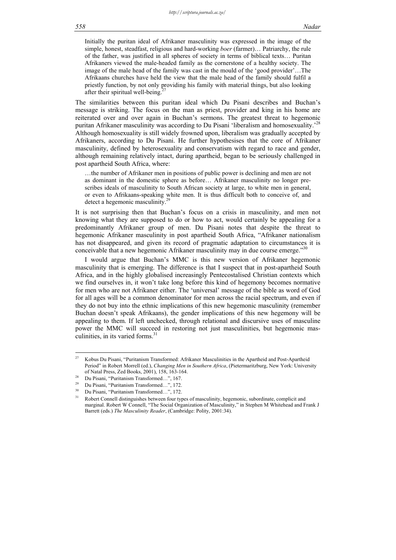Initially the puritan ideal of Afrikaner masculinity was expressed in the image of the simple, honest, steadfast, religious and hard-working *boer* (farmer)… Patriarchy, the rule of the father, was justified in all spheres of society in terms of biblical texts… Puritan Afrikaners viewed the male-headed family as the cornerstone of a healthy society. The image of the male head of the family was cast in the mould of the 'good provider'…The Afrikaans churches have held the view that the male head of the family should fulfil a priestly function, by not only providing his family with material things, but also looking after their spiritual well-being.

The similarities between this puritan ideal which Du Pisani describes and Buchan's message is striking. The focus on the man as priest, provider and king in his home are reiterated over and over again in Buchan's sermons. The greatest threat to hegemonic puritan Afrikaner masculinity was according to Du Pisani 'liberalism and homosexuality.'<sup>28</sup> Although homosexuality is still widely frowned upon, liberalism was gradually accepted by Afrikaners, according to Du Pisani. He further hypothesises that the core of Afrikaner masculinity, defined by heterosexuality and conservatism with regard to race and gender, although remaining relatively intact, during apartheid, began to be seriously challenged in post apartheid South Africa, where:

…the number of Afrikaner men in positions of public power is declining and men are not as dominant in the domestic sphere as before… Afrikaner masculinity no longer prescribes ideals of masculinity to South African society at large, to white men in general, or even to Afrikaans-speaking white men. It is thus difficult both to conceive of, and detect a hegemonic masculinity.

It is not surprising then that Buchan's focus on a crisis in masculinity, and men not knowing what they are supposed to do or how to act, would certainly be appealing for a predominantly Afrikaner group of men. Du Pisani notes that despite the threat to hegemonic Afrikaner masculinity in post apartheid South Africa, "Afrikaner nationalism has not disappeared, and given its record of pragmatic adaptation to circumstances it is conceivable that a new hegemonic Afrikaner masculinity may in due course emerge."30

I would argue that Buchan's MMC is this new version of Afrikaner hegemonic masculinity that is emerging. The difference is that I suspect that in post-apartheid South Africa, and in the highly globalised increasingly Pentecostalised Christian contexts which we find ourselves in, it won't take long before this kind of hegemony becomes normative for men who are not Afrikaner either. The 'universal' message of the bible as word of God for all ages will be a common denominator for men across the racial spectrum, and even if they do not buy into the ethnic implications of this new hegemonic masculinity (remember Buchan doesn't speak Afrikaans), the gender implications of this new hegemony will be appealing to them. If left unchecked, through relational and discursive uses of masculine power the MMC will succeed in restoring not just masculinities, but hegemonic masculinities, in its varied forms. $31$ 

1

<sup>&</sup>lt;sup>27</sup> Kobus Du Pisani, "Puritanism Transformed: Afrikaner Masculinities in the Apartheid and Post-Apartheid Period" in Robert Morrell (ed.), *Changing Men in Southern Africa*, (Pietermaritzburg, New York: University of Natal Press, Zed Books, 2001), 158, 163-164.<br><sup>28</sup> Du Pisani, "Puritanism Transformed...", 167.

Du Pisani, "Puritanism Transformed...", 172.

<sup>30</sup> Du Pisani, "Puritanism Transformed…", 172.

<sup>31</sup> Robert Connell distinguishes between four types of masculinity, hegemonic, subordinate, complicit and marginal. Robert W Connell, "The Social Organization of Masculinity," in Stephen M Whitehead and Frank J Barrett (eds.) *The Masculinity Reader*, (Cambridge: Polity, 2001:34).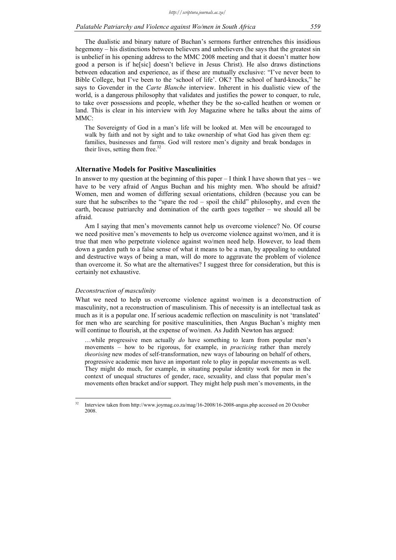The dualistic and binary nature of Buchan's sermons further entrenches this insidious hegemony – his distinctions between believers and unbelievers (he says that the greatest sin is unbelief in his opening address to the MMC 2008 meeting and that it doesn't matter how good a person is if he[sic] doesn't believe in Jesus Christ). He also draws distinctions between education and experience, as if these are mutually exclusive: "I've never been to Bible College, but I've been to the 'school of life'. OK? The school of hard-knocks," he says to Govender in the *Carte Blanche* interview. Inherent in his dualistic view of the world, is a dangerous philosophy that validates and justifies the power to conquer, to rule, to take over possessions and people, whether they be the so-called heathen or women or land. This is clear in his interview with Joy Magazine where he talks about the aims of MMC:

The Sovereignty of God in a man's life will be looked at. Men will be encouraged to walk by faith and not by sight and to take ownership of what God has given them eg: families, businesses and farms. God will restore men's dignity and break bondages in their lives, setting them free. $32$ 

#### **Alternative Models for Positive Masculinities**

In answer to my question at the beginning of this paper  $-I$  think I have shown that yes – we have to be very afraid of Angus Buchan and his mighty men. Who should be afraid? Women, men and women of differing sexual orientations, children (because you can be sure that he subscribes to the "spare the rod – spoil the child" philosophy, and even the earth, because patriarchy and domination of the earth goes together – we should all be afraid.

Am I saying that men's movements cannot help us overcome violence? No. Of course we need positive men's movements to help us overcome violence against wo/men, and it is true that men who perpetrate violence against wo/men need help. However, to lead them down a garden path to a false sense of what it means to be a man, by appealing to outdated and destructive ways of being a man, will do more to aggravate the problem of violence than overcome it. So what are the alternatives? I suggest three for consideration, but this is certainly not exhaustive.

#### *Deconstruction of masculinity*

What we need to help us overcome violence against wo/men is a deconstruction of masculinity, not a reconstruction of masculinism. This of necessity is an intellectual task as much as it is a popular one. If serious academic reflection on masculinity is not 'translated' for men who are searching for positive masculinities, then Angus Buchan's mighty men will continue to flourish, at the expense of wo/men. As Judith Newton has argued:

…while progressive men actually *do* have something to learn from popular men's movements – how to be rigorous, for example, in *practicing* rather than merely *theorising* new modes of self-transformation, new ways of labouring on behalf of others, progressive academic men have an important role to play in popular movements as well. They might do much, for example, in situating popular identity work for men in the context of unequal structures of gender, race, sexuality, and class that popular men's movements often bracket and/or support. They might help push men's movements, in the

 $32$ Interview taken from http://www.joymag.co.za/mag/16-2008/16-2008-angus.php accessed on 20 October 2008.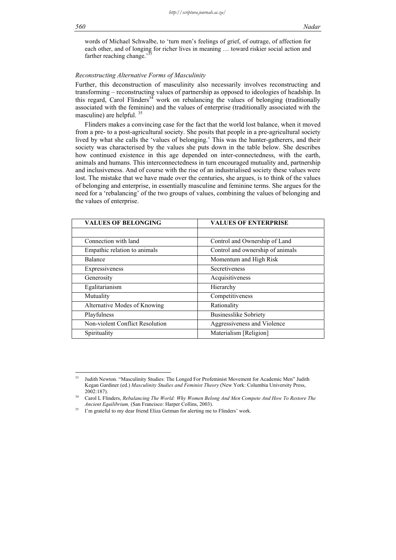words of Michael Schwalbe, to 'turn men's feelings of grief, of outrage, of affection for each other, and of longing for richer lives in meaning … toward riskier social action and farther reaching change.

# *Reconstructing Alternative Forms of Masculinity*

Further, this deconstruction of masculinity also necessarily involves reconstructing and transforming – reconstructing values of partnership as opposed to ideologies of headship. In this regard, Carol Flinders<sup>34</sup> work on rebalancing the values of belonging (traditionally associated with the feminine) and the values of enterprise (traditionally associated with the masculine) are helpful. 35

Flinders makes a convincing case for the fact that the world lost balance, when it moved from a pre- to a post-agricultural society. She posits that people in a pre-agricultural society lived by what she calls the 'values of belonging.' This was the hunter-gatherers, and their society was characterised by the values she puts down in the table below. She describes how continued existence in this age depended on inter-connectedness, with the earth, animals and humans. This interconnectedness in turn encouraged mutuality and, partnership and inclusiveness. And of course with the rise of an industrialised society these values were lost. The mistake that we have made over the centuries, she argues, is to think of the values of belonging and enterprise, in essentially masculine and feminine terms. She argues for the need for a 'rebalancing' of the two groups of values, combining the values of belonging and the values of enterprise.

| <b>VALUES OF BELONGING</b>      | <b>VALUES OF ENTERPRISE</b>      |
|---------------------------------|----------------------------------|
|                                 |                                  |
| Connection with land            | Control and Ownership of Land    |
| Empathic relation to animals    | Control and ownership of animals |
| Balance                         | Momentum and High Risk           |
| Expressiveness                  | Secretiveness                    |
| Generosity                      | Acquisitiveness                  |
| Egalitarianism                  | Hierarchy                        |
| Mutuality                       | Competitiveness                  |
| Alternative Modes of Knowing    | Rationality                      |
| Playfulness                     | <b>Businesslike Sobriety</b>     |
| Non-violent Conflict Resolution | Aggressiveness and Violence      |
| Spirituality                    | Materialism [Religion]           |

 $\overline{\mathbf{3}}$ 33 Judith Newton. "Masculinity Studies: The Longed For Profeminist Movement for Academic Men" Judith Kegan Gardiner (ed.) *Masculinity Studies and Feminist Theory* (New York: Columbia University Press,

<sup>2002:187). 34</sup> Carol L Flinders, *Rebalancing The World: Why Women Belong And Men Compete And How To Restore The* 

*Ancient Equilibrium,* (San Francisco: Harper Collins, 2003).<br><sup>35</sup> I'm grateful to my dear friend Eliza Getman for alerting me to Flinders' work.